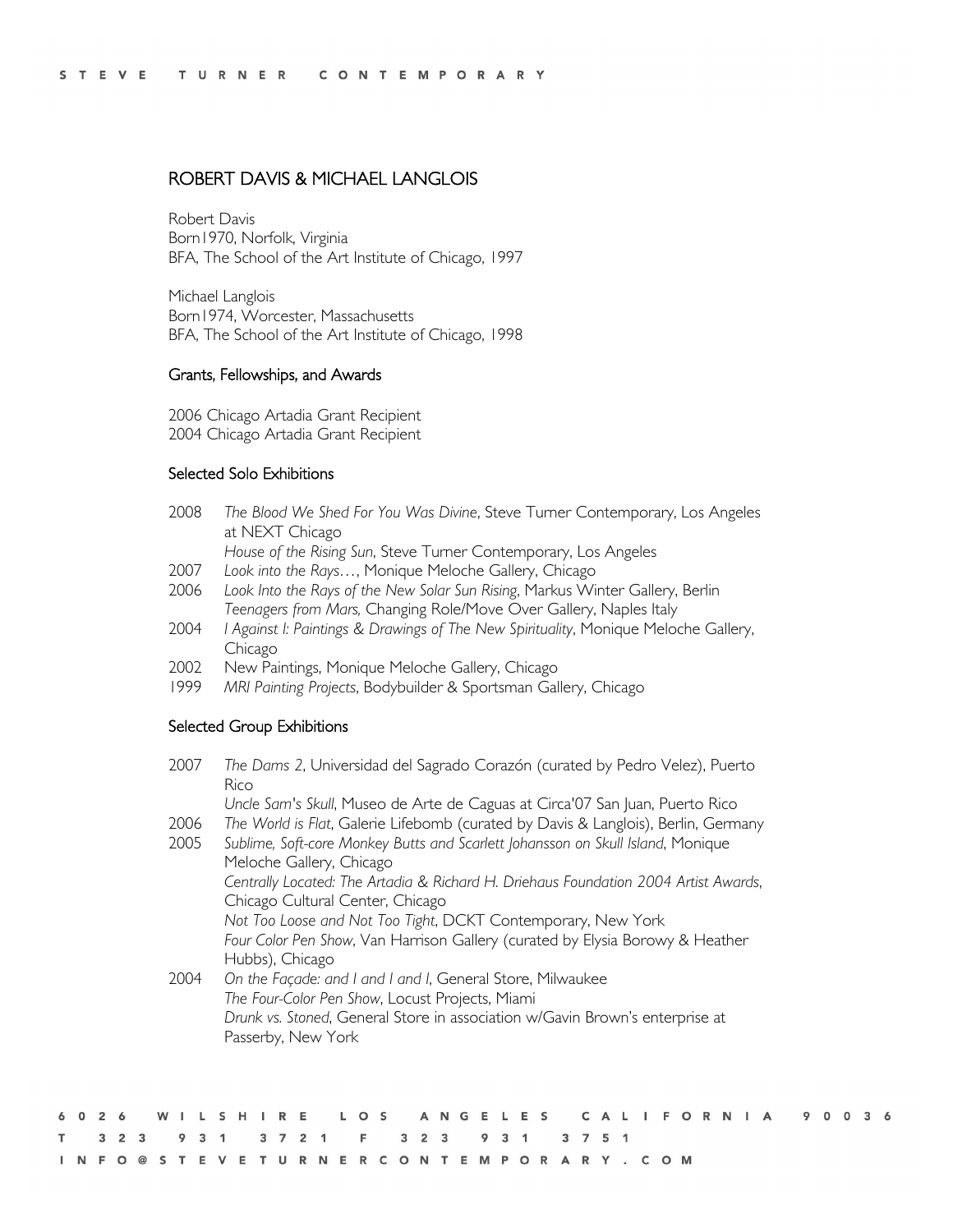# ROBERT DAVIS & MICHAEL LANGLOIS

Robert Davis Born1970, Norfolk, Virginia BFA, The School of the Art Institute of Chicago, 1997

Michael Langlois Born1974, Worcester, Massachusetts BFA, The School of the Art Institute of Chicago, 1998

#### Grants, Fellowships, and Awards

2006 Chicago Artadia Grant Recipient 2004 Chicago Artadia Grant Recipient

### Selected Solo Exhibitions

2008 *The Blood We Shed For You Was Divine*, Steve Turner Contemporary, Los Angeles at NEXT Chicago

*House of the Rising Sun*, Steve Turner Contemporary, Los Angeles

- 2007 *Look into the Rays…*, Monique Meloche Gallery, Chicago
- 2006 *Look Into the Rays of the New Solar Sun Rising*, Markus Winter Gallery, Berlin *Teenagers from Mars,* Changing Role/Move Over Gallery, Naples Italy
- 2004 *I Against I: Paintings & Drawings of The New Spirituality*, Monique Meloche Gallery, Chicago
- 2002 New Paintings, Monique Meloche Gallery, Chicago
- 1999 *MRI Painting Projects*, Bodybuilder & Sportsman Gallery, Chicago

### Selected Group Exhibitions

2007 *The Dams 2*, Universidad del Sagrado Corazón (curated by Pedro Velez), Puerto Rico *Uncle Sam's Skull*, Museo de Arte de Caguas at Circa'07 San Juan, Puerto Rico 2006 *The World is Flat*, Galerie Lifebomb (curated by Davis & Langlois), Berlin, Germany 2005 *Sublime, Soft-core Monkey Butts and Scarlett Johansson on Skull Island*, Monique Meloche Gallery, Chicago *Centrally Located: The Artadia & Richard H. Driehaus Foundation 2004 Artist Awards*, Chicago Cultural Center, Chicago *Not Too Loose and Not Too Tight*, DCKT Contemporary, New York *Four Color Pen Show*, Van Harrison Gallery (curated by Elysia Borowy & Heather Hubbs), Chicago 2004 *On the Façade: and I and I and I*, General Store, Milwaukee *The Four-Color Pen Show*, Locust Projects, Miami *Drunk vs. Stoned*, General Store in association w/Gavin Brown's enterprise at Passerby, New York

|  |  |  |  |  |  |                                             |  |  |  |  |  |  |  |  |  |  | 6026 WILSHIRE LOS ANGELES CALIFORNIA 90036 |  |  |  |
|--|--|--|--|--|--|---------------------------------------------|--|--|--|--|--|--|--|--|--|--|--------------------------------------------|--|--|--|
|  |  |  |  |  |  | T 3 2 3 9 3 1 3 7 2 1 F 3 2 3 9 3 1 3 7 5 1 |  |  |  |  |  |  |  |  |  |  |                                            |  |  |  |
|  |  |  |  |  |  | INFO@STEVETURNERCONTEMPORARY.COM            |  |  |  |  |  |  |  |  |  |  |                                            |  |  |  |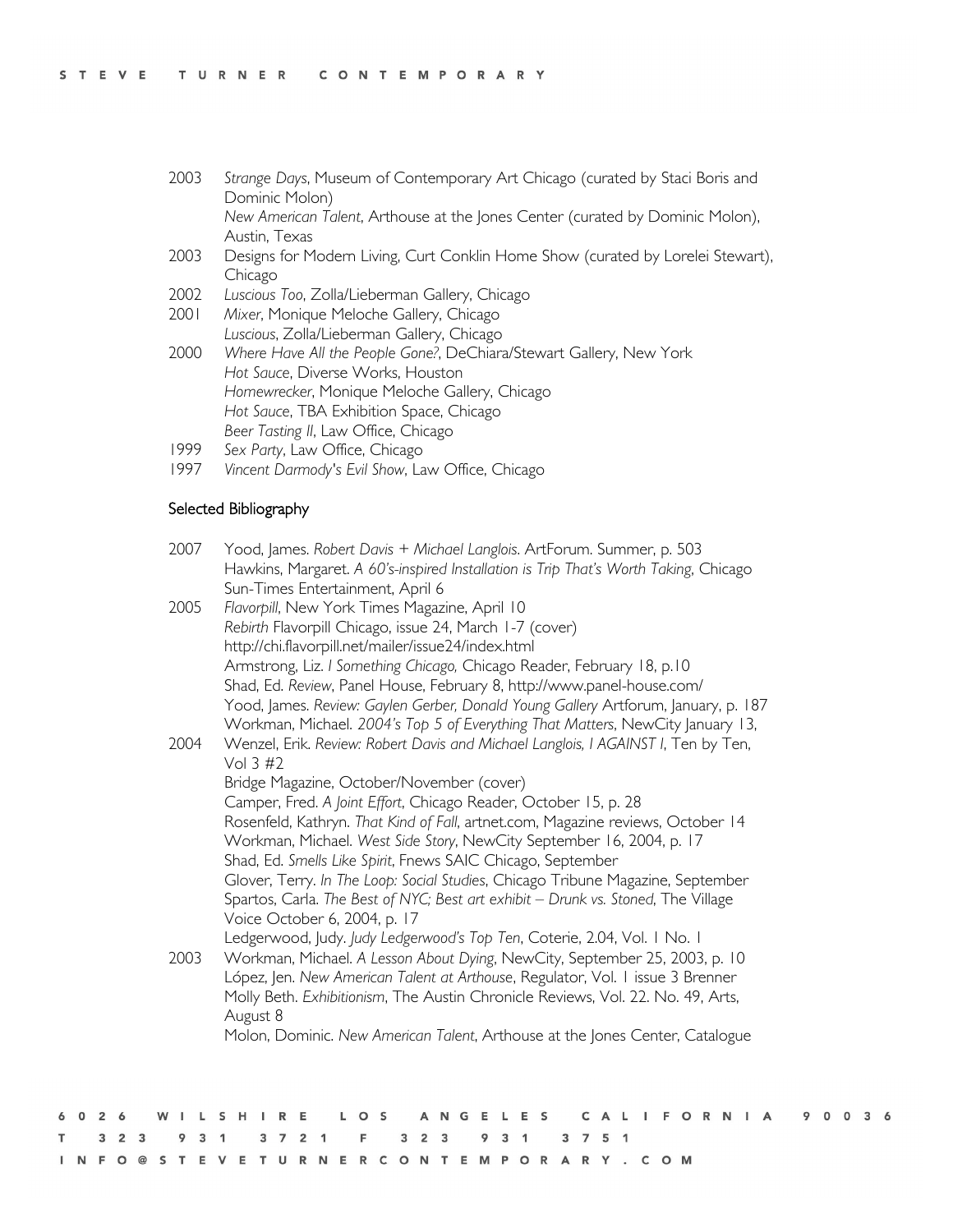- 2003 *Strange Days*, Museum of Contemporary Art Chicago (curated by Staci Boris and Dominic Molon) *New American Talent*, Arthouse at the Jones Center (curated by Dominic Molon), Austin, Texas
- 2003 Designs for Modern Living, Curt Conklin Home Show (curated by Lorelei Stewart), Chicago
- 2002 *Luscious Too*, Zolla/Lieberman Gallery, Chicago
- 2001 *Mixer*, Monique Meloche Gallery, Chicago *Luscious*, Zolla/Lieberman Gallery, Chicago
- 2000 *Where Have All the People Gone?*, DeChiara/Stewart Gallery, New York *Hot Sauce*, Diverse Works, Houston *Homewrecker*, Monique Meloche Gallery, Chicago *Hot Sauce*, TBA Exhibition Space, Chicago *Beer Tasting II*, Law Office, Chicago
- 1999 *Sex Party*, Law Office, Chicago
- 1997 *Vincent Darmody's Evil Show*, Law Office, Chicago

## Selected Bibliography

| 2007 | Yood, James. Robert Davis + Michael Langlois. ArtForum. Summer, p. 503<br>Hawkins, Margaret. A 60's-inspired Installation is Trip That's Worth Taking, Chicago<br>Sun-Times Entertainment, April 6                                                                                        |
|------|-------------------------------------------------------------------------------------------------------------------------------------------------------------------------------------------------------------------------------------------------------------------------------------------|
| 2005 | Flavorpill, New York Times Magazine, April 10<br>Rebirth Flavorpill Chicago, issue 24, March 1-7 (cover)                                                                                                                                                                                  |
|      | http://chi.flavorpill.net/mailer/issue24/index.html                                                                                                                                                                                                                                       |
|      | Armstrong, Liz. I Something Chicago, Chicago Reader, February 18, p.10<br>Shad, Ed. Review, Panel House, February 8, http://www.panel-house.com/                                                                                                                                          |
|      | Yood, James. Review: Gaylen Gerber, Donald Young Gallery Artforum, January, p. 187<br>Workman, Michael. 2004's Top 5 of Everything That Matters, NewCity January 13,                                                                                                                      |
| 2004 | Wenzel, Erik. Review: Robert Davis and Michael Langlois, I AGAINST I, Ten by Ten,<br>Vol $3#2$                                                                                                                                                                                            |
|      | Bridge Magazine, October/November (cover)                                                                                                                                                                                                                                                 |
|      | Camper, Fred. A Joint Effort, Chicago Reader, October 15, p. 28<br>Rosenfeld, Kathryn. That Kind of Fall, artnet.com, Magazine reviews, October 14<br>Workman, Michael. West Side Story, NewCity September 16, 2004, p. 17<br>Shad, Ed. Smells Like Spirit, Fnews SAIC Chicago, September |
|      | Glover, Terry. In The Loop: Social Studies, Chicago Tribune Magazine, September<br>Spartos, Carla. The Best of NYC; Best art exhibit - Drunk vs. Stoned, The Village<br>Voice October 6, 2004, p. 17                                                                                      |
|      | Ledgerwood, Judy. Judy Ledgerwood's Top Ten, Coterie, 2.04, Vol. I No. I                                                                                                                                                                                                                  |
| 2003 | Workman, Michael. A Lesson About Dying, NewCity, September 25, 2003, p. 10<br>López, Jen. New American Talent at Arthouse, Regulator, Vol. I issue 3 Brenner                                                                                                                              |
|      | Molly Beth. Exhibitionism, The Austin Chronicle Reviews, Vol. 22. No. 49, Arts,<br>August 8                                                                                                                                                                                               |
|      | Molon, Dominic. New American Talent, Arthouse at the Jones Center, Catalogue                                                                                                                                                                                                              |
|      |                                                                                                                                                                                                                                                                                           |

|  |  |  |  |  |  |                                             |  |  |  |  |  |  |  |  |  |  | 6026 WILSHIRE LOS ANGELES CALIFORNIA 90036 |  |  |  |
|--|--|--|--|--|--|---------------------------------------------|--|--|--|--|--|--|--|--|--|--|--------------------------------------------|--|--|--|
|  |  |  |  |  |  | T 3 2 3 9 3 1 3 7 2 1 F 3 2 3 9 3 1 3 7 5 1 |  |  |  |  |  |  |  |  |  |  |                                            |  |  |  |
|  |  |  |  |  |  | INFO@STEVETURNERCONTEMPORARY.COM            |  |  |  |  |  |  |  |  |  |  |                                            |  |  |  |